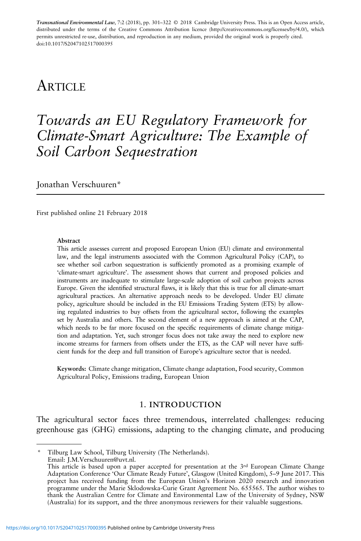Transnational Environmental Law, 7:2 (2018), pp. 301–322 © 2018 Cambridge University Press. This is an Open Access article, distributed under the terms of the Creative Commons Attribution licence (http://creativecommons.org/licenses/by/4.0/), which permits unrestricted re-use, distribution, and reproduction in any medium, provided the original work is properly cited. doi[:10.1017/S2047102517000395](https://doi.org/10.1017/S2047102517000395)

# **ARTICLE**

# Towards an EU Regulatory Framework for Climate-Smart Agriculture: The Example of Soil Carbon Sequestration

Jonathan Verschuuren\*

First published online 21 February 2018

#### Abstract

This article assesses current and proposed European Union (EU) climate and environmental law, and the legal instruments associated with the Common Agricultural Policy (CAP), to see whether soil carbon sequestration is sufficiently promoted as a promising example of 'climate-smart agriculture'. The assessment shows that current and proposed policies and instruments are inadequate to stimulate large-scale adoption of soil carbon projects across Europe. Given the identified structural flaws, it is likely that this is true for all climate-smart agricultural practices. An alternative approach needs to be developed. Under EU climate policy, agriculture should be included in the EU Emissions Trading System (ETS) by allowing regulated industries to buy offsets from the agricultural sector, following the examples set by Australia and others. The second element of a new approach is aimed at the CAP, which needs to be far more focused on the specific requirements of climate change mitigation and adaptation. Yet, such stronger focus does not take away the need to explore new income streams for farmers from offsets under the ETS, as the CAP will never have sufficient funds for the deep and full transition of Europe's agriculture sector that is needed.

Keywords: Climate change mitigation, Climate change adaptation, Food security, Common Agricultural Policy, Emissions trading, European Union

#### 1. introduction

The agricultural sector faces three tremendous, interrelated challenges: reducing greenhouse gas (GHG) emissions, adapting to the changing climate, and producing

Tilburg Law School, Tilburg University (The Netherlands). Email: [J.M.Verschuuren@uvt.nl.](mailto:J.M.Verschuuren@uvt.nl) This article is based upon a paper accepted for presentation at the 3rd European Climate Change Adaptation Conference 'Our Climate Ready Future', Glasgow (United Kingdom), 5–9 June 2017. This project has received funding from the European Union's Horizon 2020 research and innovation programme under the Marie Sklodowska-Curie Grant Agreement No. 655565. The author wishes to thank the Australian Centre for Climate and Environmental Law of the University of Sydney, NSW (Australia) for its support, and the three anonymous reviewers for their valuable suggestions.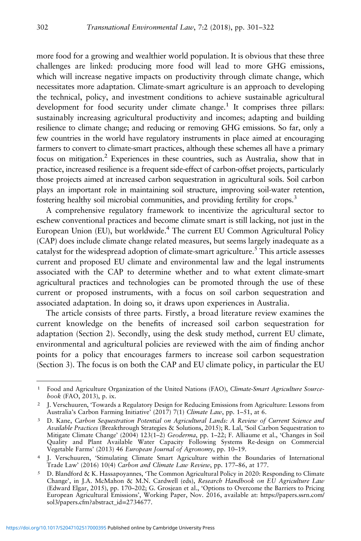more food for a growing and wealthier world population. It is obvious that these three challenges are linked: producing more food will lead to more GHG emissions, which will increase negative impacts on productivity through climate change, which necessitates more adaptation. Climate-smart agriculture is an approach to developing the technical, policy, and investment conditions to achieve sustainable agricultural development for food security under climate change.<sup>1</sup> It comprises three pillars: sustainably increasing agricultural productivity and incomes; adapting and building resilience to climate change; and reducing or removing GHG emissions. So far, only a few countries in the world have regulatory instruments in place aimed at encouraging farmers to convert to climate-smart practices, although these schemes all have a primary focus on mitigation.2 Experiences in these countries, such as Australia, show that in practice, increased resilience is a frequent side-effect of carbon-offset projects, particularly those projects aimed at increased carbon sequestration in agricultural soils. Soil carbon plays an important role in maintaining soil structure, improving soil-water retention, fostering healthy soil microbial communities, and providing fertility for crops.<sup>3</sup>

A comprehensive regulatory framework to incentivize the agricultural sector to eschew conventional practices and become climate smart is still lacking, not just in the European Union (EU), but worldwide.4 The current EU Common Agricultural Policy (CAP) does include climate change related measures, but seems largely inadequate as a catalyst for the widespread adoption of climate-smart agriculture.<sup>5</sup> This article assesses current and proposed EU climate and environmental law and the legal instruments associated with the CAP to determine whether and to what extent climate-smart agricultural practices and technologies can be promoted through the use of these current or proposed instruments, with a focus on soil carbon sequestration and associated adaptation. In doing so, it draws upon experiences in Australia.

The article consists of three parts. Firstly, a broad literature review examines the current knowledge on the benefits of increased soil carbon sequestration for adaptation (Section 2). Secondly, using the desk study method, current EU climate, environmental and agricultural policies are reviewed with the aim of finding anchor points for a policy that encourages farmers to increase soil carbon sequestration (Section 3). The focus is on both the CAP and EU climate policy, in particular the EU

<sup>1</sup> Food and Agriculture Organization of the United Nations (FAO), Climate-Smart Agriculture Sourcebook (FAO, 2013), p. ix.

<sup>2</sup> J. Verschuuren, 'Towards a Regulatory Design for Reducing Emissions from Agriculture: Lessons from Australia's Carbon Farming Initiative<sup>'</sup> (2017) 7(1) Climate Law, pp. 1–51, at 6.

<sup>&</sup>lt;sup>3</sup> D. Kane, Carbon Sequestration Potential on Agricultural Lands: A Review of Current Science and Available Practices (Breakthrough Strategies & Solutions, 2015); R. Lal, 'Soil Carbon Sequestration to Mitigate Climate Change' (2004) 123(1–2) Geoderma, pp. 1–22; F. Alliaume et al., 'Changes in Soil Quality and Plant Available Water Capacity Following Systems Re-design on Commercial Vegetable Farms' (2013) 46 European Journal of Agronomy, pp. 10–19.

<sup>4</sup> J. Verschuuren, 'Stimulating Climate Smart Agriculture within the Boundaries of International Trade Law' (2016) 10(4) Carbon and Climate Law Review, pp. 177–86, at 177.

 $5$  D. Blandford & K. Hassapoyannes, 'The Common Agricultural Policy in 2020: Responding to Climate Change', in J.A. McMahon & M.N. Cardwell (eds), Research Handbook on EU Agriculture Law (Edward Elgar, 2015), pp. 170–202; G. Grosjean et al., 'Options to Overcome the Barriers to Pricing European Agricultural Emissions', Working Paper, Nov. 2016, available at: [https://papers.ssrn.com/](https://papers.ssrn.com/sol3/papers.cfm?abstract_id=2734677) [sol3/papers.cfm?abstract\\_id](https://papers.ssrn.com/sol3/papers.cfm?abstract_id=2734677)=2734677.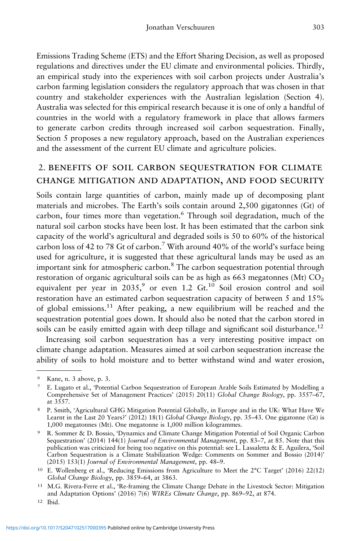Emissions Trading Scheme (ETS) and the Effort Sharing Decision, as well as proposed regulations and directives under the EU climate and environmental policies. Thirdly, an empirical study into the experiences with soil carbon projects under Australia's carbon farming legislation considers the regulatory approach that was chosen in that country and stakeholder experiences with the Australian legislation (Section 4). Australia was selected for this empirical research because it is one of only a handful of countries in the world with a regulatory framework in place that allows farmers to generate carbon credits through increased soil carbon sequestration. Finally, Section 5 proposes a new regulatory approach, based on the Australian experiences and the assessment of the current EU climate and agriculture policies.

# 2. benefits of soil carbon sequestration for climate change mitigation and adaptation, and food security

Soils contain large quantities of carbon, mainly made up of decomposing plant materials and microbes. The Earth's soils contain around 2,500 gigatonnes (Gt) of carbon, four times more than vegetation.<sup>6</sup> Through soil degradation, much of the natural soil carbon stocks have been lost. It has been estimated that the carbon sink capacity of the world's agricultural and degraded soils is 50 to 60% of the historical carbon loss of 42 to 78 Gt of carbon.<sup>7</sup> With around 40% of the world's surface being used for agriculture, it is suggested that these agricultural lands may be used as an important sink for atmospheric carbon.<sup>8</sup> The carbon sequestration potential through restoration of organic agricultural soils can be as high as  $663$  megatonnes (Mt)  $CO<sub>2</sub>$ equivalent per year in  $2035$ , or even 1.2 Gt.<sup>10</sup> Soil erosion control and soil restoration have an estimated carbon sequestration capacity of between 5 and 15% of global emissions.<sup>11</sup> After peaking, a new equilibrium will be reached and the sequestration potential goes down. It should also be noted that the carbon stored in soils can be easily emitted again with deep tillage and significant soil disturbance.<sup>12</sup>

Increasing soil carbon sequestration has a very interesting positive impact on climate change adaptation. Measures aimed at soil carbon sequestration increase the ability of soils to hold moisture and to better withstand wind and water erosion,

<sup>6</sup> Kane, n. 3 above, p. 3.

<sup>7</sup> E. Lugato et al., 'Potential Carbon Sequestration of European Arable Soils Estimated by Modelling a Comprehensive Set of Management Practices' (2015) 20(11) Global Change Biology, pp. 3557–67, at 3557.

<sup>8</sup> P. Smith, 'Agricultural GHG Mitigation Potential Globally, in Europe and in the UK: What Have We Learnt in the Last 20 Years?' (2012) 18(1) Global Change Biology, pp. 35–43. One gigatonne (Gt) is 1,000 megatonnes (Mt). One megatonne is 1,000 million kilogrammes.

<sup>9</sup> R. Sommer & D. Bossio, 'Dynamics and Climate Change Mitigation Potential of Soil Organic Carbon Sequestration' (2014) 144(1) Journal of Environmental Management, pp. 83-7, at 85. Note that this publication was criticized for being too negative on this potential: see L. Lassaletta & E. Aguilera, 'Soil Carbon Sequestration is a Climate Stabilization Wedge: Comments on Sommer and Bossio (2014)' (2015) 153(1) Journal of Environmental Management, pp. 48–9.

<sup>10</sup> E. Wollenberg et al., 'Reducing Emissions from Agriculture to Meet the 2°C Target' (2016) 22(12) Global Change Biology, pp. 3859–64, at 3863.

<sup>11</sup> M.G. Rivera-Ferre et al., 'Re-framing the Climate Change Debate in the Livestock Sector: Mitigation and Adaptation Options' (2016) 7(6) WIREs Climate Change, pp. 869–92, at 874.

<sup>12</sup> Ibid.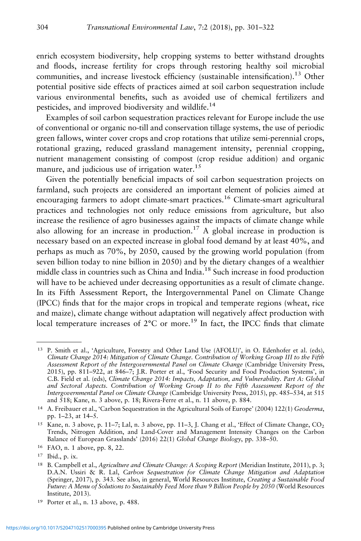enrich ecosystem biodiversity, help cropping systems to better withstand droughts and floods, increase fertility for crops through restoring healthy soil microbial communities, and increase livestock efficiency (sustainable intensification).<sup>13</sup> Other potential positive side effects of practices aimed at soil carbon sequestration include various environmental benefits, such as avoided use of chemical fertilizers and pesticides, and improved biodiversity and wildlife.<sup>14</sup>

Examples of soil carbon sequestration practices relevant for Europe include the use of conventional or organic no-till and conservation tillage systems, the use of periodic green fallows, winter cover crops and crop rotations that utilize semi-perennial crops, rotational grazing, reduced grassland management intensity, perennial cropping, nutrient management consisting of compost (crop residue addition) and organic manure, and judicious use of irrigation water.<sup>15</sup>

Given the potentially beneficial impacts of soil carbon sequestration projects on farmland, such projects are considered an important element of policies aimed at encouraging farmers to adopt climate-smart practices.<sup>16</sup> Climate-smart agricultural practices and technologies not only reduce emissions from agriculture, but also increase the resilience of agro businesses against the impacts of climate change while also allowing for an increase in production.<sup>17</sup> A global increase in production is necessary based on an expected increase in global food demand by at least 40%, and perhaps as much as 70%, by 2050, caused by the growing world population (from seven billion today to nine billion in 2050) and by the dietary changes of a wealthier middle class in countries such as China and India.<sup>18</sup> Such increase in food production will have to be achieved under decreasing opportunities as a result of climate change. In its Fifth Assessment Report, the Intergovernmental Panel on Climate Change (IPCC) finds that for the major crops in tropical and temperate regions (wheat, rice and maize), climate change without adaptation will negatively affect production with local temperature increases of 2°C or more.<sup>19</sup> In fact, the IPCC finds that climate

<sup>13</sup> P. Smith et al., 'Agriculture, Forestry and Other Land Use (AFOLU)', in O. Edenhofer et al. (eds), Climate Change 2014: Mitigation of Climate Change. Contribution of Working Group III to the Fifth Assessment Report of the Intergovernmental Panel on Climate Change (Cambridge University Press, 2015), pp. 811–922, at 846–7; J.R. Porter et al., 'Food Security and Food Production Systems', in C.B. Field et al. (eds), Climate Change 2014: Impacts, Adaptation, and Vulnerability. Part A: Global and Sectoral Aspects. Contribution of Working Group II to the Fifth Assessment Report of the Intergovernmental Panel on Climate Change (Cambridge University Press, 2015), pp. 485–534, at 515 and 518; Kane, n. 3 above, p. 18; Rivera-Ferre et al., n. 11 above, p. 884.

<sup>14</sup> A. Freibauer et al., 'Carbon Sequestration in the Agricultural Soils of Europe' (2004) 122(1) Geoderma, pp. 1–23, at 14–5.

<sup>&</sup>lt;sup>15</sup> Kane, n. 3 above, p. 11–7; Lal, n. 3 above, pp. 11–3, J. Chang et al., 'Effect of Climate Change,  $CO<sub>2</sub>$ Trends, Nitrogen Addition, and Land-Cover and Management Intensity Changes on the Carbon Balance of European Grasslands' (2016) 22(1) Global Change Biology, pp. 338–50.

<sup>16</sup> FAO, n. 1 above, pp. 8, 22.

<sup>17</sup> Ibid., p. ix.

<sup>&</sup>lt;sup>18</sup> B. Campbell et al., *Agriculture and Climate Change: A Scoping Report* (Meridian Institute, 2011), p. 3; D.A.N. Ussiri & R. Lal, Carbon Sequestration for Climate Change Mitigation and Adaptation (Springer, 2017), p. 343. See also, in general, World Resources Institute, Creating a Sustainable Food Future: A Menu of Solutions to Sustainably Feed More than 9 Billion People by 2050 (World Resources Institute, 2013).

<sup>19</sup> Porter et al., n. 13 above, p. 488.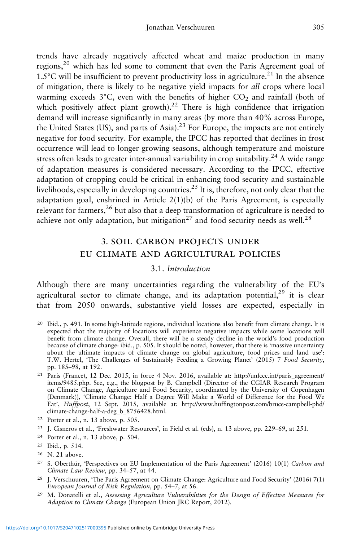trends have already negatively affected wheat and maize production in many regions,<sup>20</sup> which has led some to comment that even the Paris Agreement goal of 1.5°C will be insufficient to prevent productivity loss in agriculture.<sup>21</sup> In the absence of mitigation, there is likely to be negative yield impacts for all crops where local warming exceeds  $3^{\circ}$ C, even with the benefits of higher CO<sub>2</sub> and rainfall (both of which positively affect plant growth).<sup>22</sup> There is high confidence that irrigation demand will increase significantly in many areas (by more than 40% across Europe, the United States (US), and parts of Asia).<sup>23</sup> For Europe, the impacts are not entirely negative for food security. For example, the IPCC has reported that declines in frost occurrence will lead to longer growing seasons, although temperature and moisture stress often leads to greater inter-annual variability in crop suitability.<sup>24</sup> A wide range of adaptation measures is considered necessary. According to the IPCC, effective adaptation of cropping could be critical in enhancing food security and sustainable livelihoods, especially in developing countries.<sup>25</sup> It is, therefore, not only clear that the adaptation goal, enshrined in Article  $2(1)(b)$  of the Paris Agreement, is especially relevant for farmers,<sup>26</sup> but also that a deep transformation of agriculture is needed to achieve not only adaptation, but mitigation<sup>27</sup> and food security needs as well.<sup>28</sup>

# 3. soil carbon projects under eu climate and agricultural policies

#### 3.1. Introduction

Although there are many uncertainties regarding the vulnerability of the EU's agricultural sector to climate change, and its adaptation potential, $2^9$  it is clear that from 2050 onwards, substantive yield losses are expected, especially in

- 22 Porter et al., n. 13 above, p. 505.
- 23 J. Cisneros et al., 'Freshwater Resources', in Field et al. (eds), n. 13 above, pp. 229–69, at 251.
- 24 Porter et al., n. 13 above, p. 504.

<sup>20</sup> Ibid., p. 491. In some high-latitude regions, individual locations also benefit from climate change. It is expected that the majority of locations will experience negative impacts while some locations will benefit from climate change. Overall, there will be a steady decline in the world's food production because of climate change: ibid., p. 505. It should be noted, however, that there is 'massive uncertainty about the ultimate impacts of climate change on global agriculture, food prices and land use': T.W. Hertel, 'The Challenges of Sustainably Feeding a Growing Planet' (2015) 7 Food Security, pp. 185–98, at 192.

<sup>21</sup> Paris (France), 12 Dec. 2015, in force 4 Nov. 2016, available at: [http://unfccc.int/paris\\_agreement/](http://unfccc.int/paris_agreement/items/9485.php) [items/9485.php](http://unfccc.int/paris_agreement/items/9485.php). See, e.g., the blogpost by B. Campbell (Director of the CGIAR Research Program on Climate Change, Agriculture and Food Security, coordinated by the University of Copenhagen (Denmark)), 'Climate Change: Half a Degree Will Make a World of Difference for the Food We Eat', Huffpost, 12 Sept. 2015, available at: http://www.huffi[ngtonpost.com/bruce-campbell-phd/](http://www.huffingtonpost.com/bruce-campbell-phd/climate-change-half-a-deg_b_8756428.html) [climate-change-half-a-deg\\_b\\_8756428.html](http://www.huffingtonpost.com/bruce-campbell-phd/climate-change-half-a-deg_b_8756428.html).

<sup>25</sup> Ibid., p. 514.

<sup>26</sup> N. 21 above.

<sup>&</sup>lt;sup>27</sup> S. Oberthür, 'Perspectives on EU Implementation of the Paris Agreement' (2016) 10(1) Carbon and Climate Law Review, pp. 34–57, at 44.

<sup>28</sup> J. Verschuuren, 'The Paris Agreement on Climate Change: Agriculture and Food Security' (2016) 7(1) European Journal of Risk Regulation, pp. 54–7, at 56.

<sup>29</sup> M. Donatelli et al., Assessing Agriculture Vulnerabilities for the Design of Effective Measures for Adaption to Climate Change (European Union JRC Report, 2012).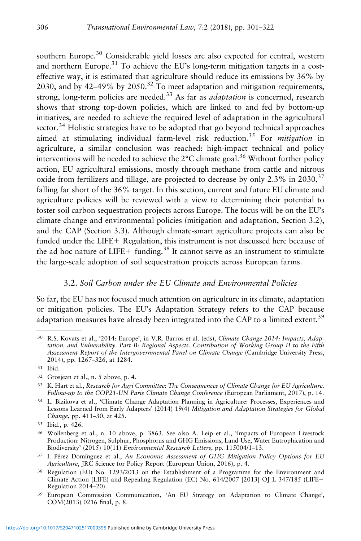southern Europe.<sup>30</sup> Considerable yield losses are also expected for central, western and northern Europe.<sup>31</sup> To achieve the EU's long-term mitigation targets in a costeffective way, it is estimated that agriculture should reduce its emissions by 36% by 2030, and by 42–49% by 2050.<sup>32</sup> To meet adaptation and mitigation requirements, strong, long-term policies are needed.<sup>33</sup> As far as *adaptation* is concerned, research shows that strong top-down policies, which are linked to and fed by bottom-up initiatives, are needed to achieve the required level of adaptation in the agricultural sector.<sup>34</sup> Holistic strategies have to be adopted that go beyond technical approaches aimed at stimulating individual farm-level risk reduction.<sup>35</sup> For *mitigation* in agriculture, a similar conclusion was reached: high-impact technical and policy interventions will be needed to achieve the  $2^{\circ}$ C climate goal.<sup>36</sup> Without further policy action, EU agricultural emissions, mostly through methane from cattle and nitrous oxide from fertilizers and tillage, are projected to decrease by only  $2.3\%$  in  $2030$ ,  $37$ falling far short of the 36% target. In this section, current and future EU climate and agriculture policies will be reviewed with a view to determining their potential to foster soil carbon sequestration projects across Europe. The focus will be on the EU's climate change and environmental policies (mitigation and adaptation, Section 3.2), and the CAP (Section 3.3). Although climate-smart agriculture projects can also be funded under the LIFE+ Regulation, this instrument is not discussed here because of the ad hoc nature of LIFE+ funding.<sup>38</sup> It cannot serve as an instrument to stimulate the large-scale adoption of soil sequestration projects across European farms.

#### 3.2. Soil Carbon under the EU Climate and Environmental Policies

So far, the EU has not focused much attention on agriculture in its climate, adaptation or mitigation policies. The EU's Adaptation Strategy refers to the CAP because adaptation measures have already been integrated into the CAP to a limited extent.<sup>39</sup>

<sup>30</sup> R.S. Kovats et al., '2014: Europe', in V.R. Barros et al. (eds), Climate Change 2014: Impacts, Adaptation, and Vulnerability. Part B: Regional Aspects. Contribution of Working Group II to the Fifth Assessment Report of the Intergovernmental Panel on Climate Change (Cambridge University Press, 2014), pp. 1267–326, at 1284.

<sup>31</sup> Ibid.

<sup>32</sup> Grosjean et al., n. 5 above, p. 4.

<sup>&</sup>lt;sup>33</sup> K. Hart et al., Research for Agri Committee: The Consequences of Climate Change for EU Agriculture. Follow-up to the COP21-UN Paris Climate Change Conference (European Parliament, 2017), p. 14.

<sup>34</sup> L. Bizikova et al., 'Climate Change Adaptation Planning in Agriculture: Processes, Experiences and Lessons Learned from Early Adapters' (2014) 19(4) Mitigation and Adaptation Strategies for Global Change, pp. 411–30, at 425.

<sup>35</sup> Ibid., p. 426.

<sup>36</sup> Wollenberg et al., n. 10 above, p. 3863. See also A. Leip et al., 'Impacts of European Livestock Production: Nitrogen, Sulphur, Phosphorus and GHG Emissions, Land-Use, Water Eutrophication and Biodiversity' (2015) 10(11) Environmental Research Letters, pp. 115004/1-13.

<sup>37</sup> I. Pérez Domínguez et al., An Economic Assessment of GHG Mitigation Policy Options for EU Agriculture, JRC Science for Policy Report (European Union, 2016), p. 4.

<sup>38</sup> Regulation (EU) No. 1293/2013 on the Establishment of a Programme for the Environment and Climate Action (LIFE) and Repealing Regulation (EC) No. 614/2007 [2013] OJ L 347/185 (LIFE+ Regulation 2014–20).

<sup>39</sup> European Commission Communication, 'An EU Strategy on Adaptation to Climate Change', COM(2013) 0216 final, p. 8.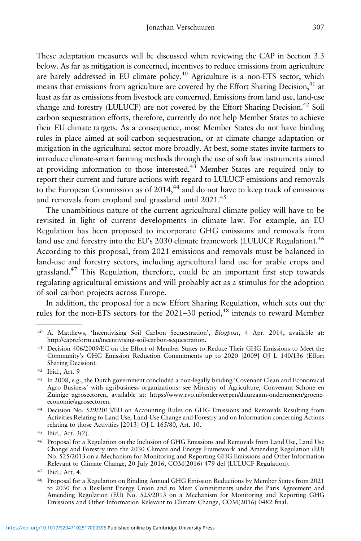These adaptation measures will be discussed when reviewing the CAP in Section 3.3 below. As far as mitigation is concerned, incentives to reduce emissions from agriculture are barely addressed in EU climate policy.<sup>40</sup> Agriculture is a non-ETS sector, which means that emissions from agriculture are covered by the Effort Sharing Decision,<sup>41</sup> at least as far as emissions from livestock are concerned. Emissions from land use, land-use change and forestry (LULUCF) are not covered by the Effort Sharing Decision.<sup>42</sup> Soil carbon sequestration efforts, therefore, currently do not help Member States to achieve their EU climate targets. As a consequence, most Member States do not have binding rules in place aimed at soil carbon sequestration, or at climate change adaptation or mitigation in the agricultural sector more broadly. At best, some states invite farmers to introduce climate-smart farming methods through the use of soft law instruments aimed at providing information to those interested.<sup>43</sup> Member States are required only to report their current and future actions with regard to LULUCF emissions and removals to the European Commission as of  $2014<sup>44</sup>$  and do not have to keep track of emissions and removals from cropland and grassland until 2021.45

The unambitious nature of the current agricultural climate policy will have to be revisited in light of current developments in climate law. For example, an EU Regulation has been proposed to incorporate GHG emissions and removals from land use and forestry into the EU's 2030 climate framework (LULUCF Regulation).<sup>46</sup> According to this proposal, from 2021 emissions and removals must be balanced in land-use and forestry sectors, including agricultural land use for arable crops and grassland.<sup>47</sup> This Regulation, therefore, could be an important first step towards regulating agricultural emissions and will probably act as a stimulus for the adoption of soil carbon projects across Europe.

In addition, the proposal for a new Effort Sharing Regulation, which sets out the rules for the non-ETS sectors for the  $2021-30$  period,<sup>48</sup> intends to reward Member

<sup>40</sup> A. Matthews, 'Incentivising Soil Carbon Sequestration', Blogpost, 4 Apr. 2014, available at: <http://capreform.eu/incentivising-soil-carbon-sequestration>.

<sup>41</sup> Decision 406/2009/EC on the Effort of Member States to Reduce Their GHG Emissions to Meet the Community's GHG Emission Reduction Commitments up to 2020 [2009] OJ L 140/136 (Effort Sharing Decision).

<sup>42</sup> Ibid., Art. 9

<sup>43</sup> In 2008, e.g., the Dutch government concluded a non-legally binding 'Covenant Clean and Economical Agro Business' with agribusiness organizations: see Ministry of Agriculture, Convenant Schone en Zuinige agrosectoren, available at: [https://www.rvo.nl/onderwerpen/duurzaam-ondernemen/groene](https://www.rvo.nl/onderwerpen/duurzaam-ondernemen/groene-economie/agrosectoren)[economie/agrosectoren](https://www.rvo.nl/onderwerpen/duurzaam-ondernemen/groene-economie/agrosectoren).

<sup>44</sup> Decision No. 529/2013/EU on Accounting Rules on GHG Emissions and Removals Resulting from Activities Relating to Land Use, Land-Use Change and Forestry and on Information concerning Actions relating to those Activities [2013] OJ L 165/80, Art. 10.

<sup>45</sup> Ibid., Art. 3(2).

<sup>46</sup> Proposal for a Regulation on the Inclusion of GHG Emissions and Removals from Land Use, Land Use Change and Forestry into the 2030 Climate and Energy Framework and Amending Regulation (EU) No. 525/2013 on a Mechanism for Monitoring and Reporting GHG Emissions and Other Information Relevant to Climate Change, 20 July 2016, COM(2016) 479 def (LULUCF Regulation).

<sup>47</sup> Ibid., Art. 4.

<sup>48</sup> Proposal for a Regulation on Binding Annual GHG Emission Reductions by Member States from 2021 to 2030 for a Resilient Energy Union and to Meet Commitments under the Paris Agreement and Amending Regulation (EU) No. 525/2013 on a Mechanism for Monitoring and Reporting GHG Emissions and Other Information Relevant to Climate Change, COM(2016) 0482 final.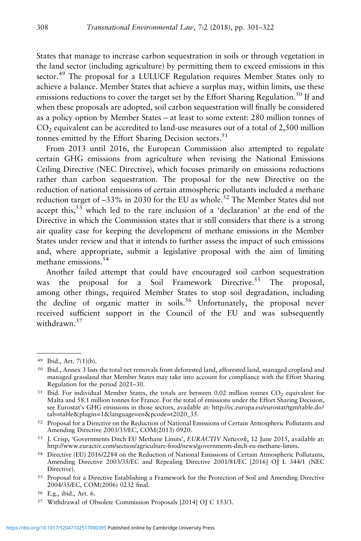States that manage to increase carbon sequestration in soils or through vegetation in the land sector (including agriculture) by permitting them to exceed emissions in this sector.<sup>49</sup> The proposal for a LULUCF Regulation requires Member States only to achieve a balance. Member States that achieve a surplus may, within limits, use these emissions reductions to cover the target set by the Effort Sharing Regulation.<sup>50</sup> If and when these proposals are adopted, soil carbon sequestration will finally be considered as a policy option by Member States – at least to some extent: 280 million tonnes of  $CO<sub>2</sub>$  equivalent can be accredited to land-use measures out of a total of 2,500 million tonnes emitted by the Effort Sharing Decision sectors.<sup>51</sup>

From 2013 until 2016, the European Commission also attempted to regulate certain GHG emissions from agriculture when revising the National Emissions Ceiling Directive (NEC Directive), which focuses primarily on emissions reductions rather than carbon sequestration. The proposal for the new Directive on the reduction of national emissions of certain atmospheric pollutants included a methane reduction target of  $-33\%$  in 2030 for the EU as whole.<sup>52</sup> The Member States did not accept this,  $53$  which led to the rare inclusion of a 'declaration' at the end of the Directive in which the Commission states that it still considers that there is a strong air quality case for keeping the development of methane emissions in the Member States under review and that it intends to further assess the impact of such emissions and, where appropriate, submit a legislative proposal with the aim of limiting methane emissions.<sup>54</sup>

Another failed attempt that could have encouraged soil carbon sequestration was the proposal for a Soil Framework Directive.<sup>55</sup> The proposal, among other things, required Member States to stop soil degradation, including the decline of organic matter in soils.<sup>56</sup> Unfortunately, the proposal never received sufficient support in the Council of the EU and was subsequently withdrawn.<sup>57</sup>

<sup>49</sup> Ibid., Art. 7(1)(b).

<sup>50</sup> Ibid., Annex 3 lists the total net removals from deforested land, afforested land, managed cropland and managed grassland that Member States may take into account for compliance with the Effort Sharing Regulation for the period 2021–30.

 $51$  Ibid. For individual Member States, the totals are between 0.02 million tonnes CO<sub>2</sub> equivalent for Malta and 58.1 million tonnes for France. For the total of emissions under the Effort Sharing Decision, see Eurostat's GHG emissions in those sectors, available at: [http://ec.europa.eu/eurostat/tgm/table.do?](http://ec.europa.eu/eurostat/tgm/table.do?tab=table&plugin=1&language=en&pcode=t2020_35) tab=[table&plugin](http://ec.europa.eu/eurostat/tgm/table.do?tab=table&plugin=1&language=en&pcode=t2020_35)=1&language=en&pcode=t2020\_35.

<sup>52</sup> Proposal for a Directive on the Reduction of National Emissions of Certain Atmospheric Pollutants and Amending Directive 2003/35/EC, COM(2013) 0920.

<sup>53</sup> J. Crisp, 'Governments Ditch EU Methane Limits', EURACTIV Network, 12 June 2015, available at: [http://www.euractiv.com/section/agriculture-food/news/governments-ditch-eu-methane-limits.](http://www.euractiv.com/section/agriculture-food/news/governments-ditch-eu-methane-limits)

<sup>54</sup> Directive (EU) 2016/2284 on the Reduction of National Emissions of Certain Atmospheric Pollutants, Amending Directive 2003/35/EC and Repealing Directive 2001/81/EC [2016] OJ L 344/1 (NEC Directive).

<sup>55</sup> Proposal for a Directive Establishing a Framework for the Protection of Soil and Amending Directive 2004/35/EC, COM(2006) 0232 final.

<sup>56</sup> E.g., ibid., Art. 6.

<sup>57</sup> Withdrawal of Obsolete Commission Proposals [2014] OJ C 153/3.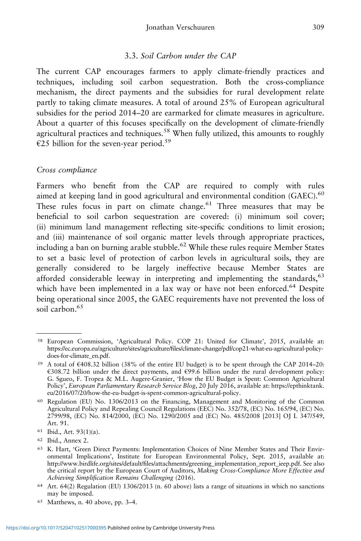#### 3.3. Soil Carbon under the CAP

The current CAP encourages farmers to apply climate-friendly practices and techniques, including soil carbon sequestration. Both the cross-compliance mechanism, the direct payments and the subsidies for rural development relate partly to taking climate measures. A total of around 25% of European agricultural subsidies for the period 2014–20 are earmarked for climate measures in agriculture. About a quarter of this focuses specifically on the development of climate-friendly agricultural practices and techniques.<sup>58</sup> When fully utilized, this amounts to roughly €25 billion for the seven-year period.<sup>59</sup>

## Cross compliance

Farmers who benefit from the CAP are required to comply with rules aimed at keeping land in good agricultural and environmental condition (GAEC).<sup>60</sup> These rules focus in part on climate change.<sup>61</sup> Three measures that may be beneficial to soil carbon sequestration are covered: (i) minimum soil cover; (ii) minimum land management reflecting site-specific conditions to limit erosion; and (iii) maintenance of soil organic matter levels through appropriate practices, including a ban on burning arable stubble.<sup>62</sup> While these rules require Member States to set a basic level of protection of carbon levels in agricultural soils, they are generally considered to be largely ineffective because Member States are afforded considerable leeway in interpreting and implementing the standards, $63$ which have been implemented in a lax way or have not been enforced.<sup>64</sup> Despite being operational since 2005, the GAEC requirements have not prevented the loss of soil carbon.<sup>65</sup>

<sup>58</sup> European Commission, 'Agricultural Policy. COP 21: United for Climate', 2015, available at: https://ec.europa.eu/agriculture/sites/agriculture/fi[les/climate-change/pdf/cop21-what-eu-agricultural-policy](https://ec.europa.eu/agriculture/sites/agriculture/files/climate-change/pdf/cop21-what-eu-agricultural-policy-does-for-climate_en.pdf)[does-for-climate\\_en.pdf](https://ec.europa.eu/agriculture/sites/agriculture/files/climate-change/pdf/cop21-what-eu-agricultural-policy-does-for-climate_en.pdf).

<sup>&</sup>lt;sup>59</sup> A total of €408.32 billion (38% of the entire EU budget) is to be spent through the CAP 2014–20: €308.72 billion under the direct payments, and €99.6 billion under the rural development policy: G. Sgueo, F. Tropea & M.L. Augere-Granier, 'How the EU Budget is Spent: Common Agricultural Policy', European Parliamentary Research Service Blog, 20 July 2016, available at: [https://epthinktank.](https://epthinktank.eu/2016�/�07/20/how-the-eu-budget-is-spent-common-agricultural-policy) [eu/2016/07/20/how-the-eu-budget-is-spent-common-agricultural-policy](https://epthinktank.eu/2016�/�07/20/how-the-eu-budget-is-spent-common-agricultural-policy).

<sup>60</sup> Regulation (EU) No. 1306/2013 on the Financing, Management and Monitoring of the Common Agricultural Policy and Repealing Council Regulations (EEC) No. 352/78, (EC) No. 165/94, (EC) No. 2799/98, (EC) No. 814/2000, (EC) No. 1290/2005 and (EC) No. 485/2008 [2013] OJ L 347/549, Art. 91.

<sup>61</sup> Ibid., Art. 93(1)(a).

<sup>62</sup> Ibid., Annex 2.

<sup>63</sup> K. Hart, 'Green Direct Payments: Implementation Choices of Nine Member States and Their Environmental Implications', Institute for European Environmental Policy, Sept. 2015, available at: http://www.birdlife.org/sites/default/fi[les/attachments/greening\\_implementation\\_report\\_ieep.pdf.](http://www.birdlife.org/sites/default/files/attachments/greening_implementation_report_ieep.pdf) See also the critical report by the European Court of Auditors, Making Cross-Compliance More Effective and Achieving Simplification Remains Challenging (2016).

<sup>64</sup> Art. 64(2) Regulation (EU) 1306/2013 (n. 60 above) lists a range of situations in which no sanctions may be imposed.

<sup>65</sup> Matthews, n. 40 above, pp. 3–4.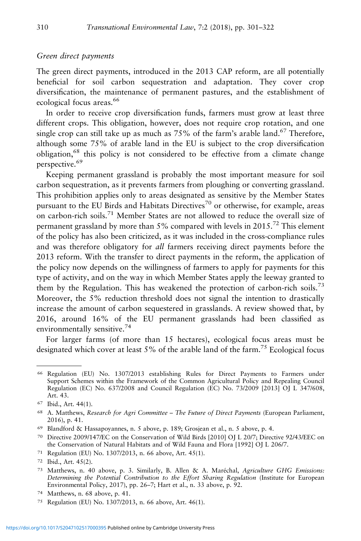#### Green direct payments

The green direct payments, introduced in the 2013 CAP reform, are all potentially beneficial for soil carbon sequestration and adaptation. They cover crop diversification, the maintenance of permanent pastures, and the establishment of ecological focus areas.<sup>66</sup>

In order to receive crop diversification funds, farmers must grow at least three different crops. This obligation, however, does not require crop rotation, and one single crop can still take up as much as  $75\%$  of the farm's arable land.<sup>67</sup> Therefore, although some 75% of arable land in the EU is subject to the crop diversification obligation,<sup>68</sup> this policy is not considered to be effective from a climate change perspective.<sup>69</sup>

Keeping permanent grassland is probably the most important measure for soil carbon sequestration, as it prevents farmers from ploughing or converting grassland. This prohibition applies only to areas designated as sensitive by the Member States pursuant to the EU Birds and Habitats Directives<sup>70</sup> or otherwise, for example, areas on carbon-rich soils.<sup>71</sup> Member States are not allowed to reduce the overall size of permanent grassland by more than 5% compared with levels in 2015.<sup>72</sup> This element of the policy has also been criticized, as it was included in the cross-compliance rules and was therefore obligatory for all farmers receiving direct payments before the 2013 reform. With the transfer to direct payments in the reform, the application of the policy now depends on the willingness of farmers to apply for payments for this type of activity, and on the way in which Member States apply the leeway granted to them by the Regulation. This has weakened the protection of carbon-rich soils.<sup>73</sup> Moreover, the 5% reduction threshold does not signal the intention to drastically increase the amount of carbon sequestered in grasslands. A review showed that, by 2016, around 16% of the EU permanent grasslands had been classified as environmentally sensitive.<sup>74</sup>

For larger farms (of more than 15 hectares), ecological focus areas must be designated which cover at least  $5\%$  of the arable land of the farm.<sup>75</sup> Ecological focus

71 Regulation (EU) No. 1307/2013, n. 66 above, Art. 45(1).

74 Matthews, n. 68 above, p. 41.

<sup>66</sup> Regulation (EU) No. 1307/2013 establishing Rules for Direct Payments to Farmers under Support Schemes within the Framework of the Common Agricultural Policy and Repealing Council Regulation (EC) No. 637/2008 and Council Regulation (EC) No. 73/2009 [2013] OJ L 347/608, Art. 43.

<sup>67</sup> Ibid., Art. 44(1).

<sup>68</sup> A. Matthews, Research for Agri Committee – The Future of Direct Payments (European Parliament, 2016), p. 41.

<sup>69</sup> Blandford & Hassapoyannes, n. 5 above, p. 189; Grosjean et al., n. 5 above, p. 4.

<sup>70</sup> Directive 2009/147/EC on the Conservation of Wild Birds [2010] OJ L 20/7; Directive 92/43/EEC on the Conservation of Natural Habitats and of Wild Fauna and Flora [1992] OJ L 206/7.

<sup>72</sup> Ibid., Art. 45(2).

<sup>73</sup> Matthews, n. 40 above, p. 3. Similarly, B. Allen & A. Maréchal, Agriculture GHG Emissions: Determining the Potential Contribution to the Effort Sharing Regulation (Institute for European Environmental Policy, 2017), pp. 26–7; Hart et al., n. 33 above, p. 92.

<sup>75</sup> Regulation (EU) No. 1307/2013, n. 66 above, Art. 46(1).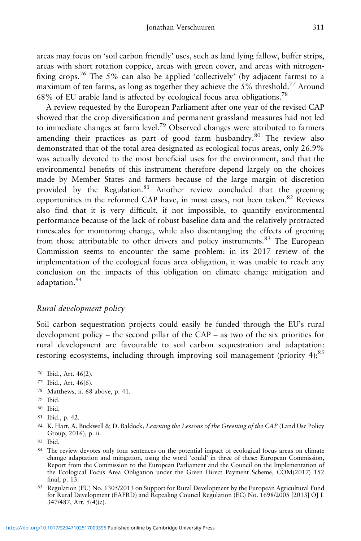areas may focus on 'soil carbon friendly' uses, such as land lying fallow, buffer strips, areas with short rotation coppice, areas with green cover, and areas with nitrogenfixing crops.<sup>76</sup> The 5% can also be applied 'collectively' (by adjacent farms) to a maximum of ten farms, as long as together they achieve the  $5\%$  threshold.<sup>77</sup> Around 68% of EU arable land is affected by ecological focus area obligations.<sup>78</sup>

A review requested by the European Parliament after one year of the revised CAP showed that the crop diversification and permanent grassland measures had not led to immediate changes at farm level.<sup>79</sup> Observed changes were attributed to farmers amending their practices as part of good farm husbandry.<sup>80</sup> The review also demonstrated that of the total area designated as ecological focus areas, only 26.9% was actually devoted to the most beneficial uses for the environment, and that the environmental benefits of this instrument therefore depend largely on the choices made by Member States and farmers because of the large margin of discretion provided by the Regulation. $81$  Another review concluded that the greening opportunities in the reformed CAP have, in most cases, not been taken.82 Reviews also find that it is very difficult, if not impossible, to quantify environmental performance because of the lack of robust baseline data and the relatively protracted timescales for monitoring change, while also disentangling the effects of greening from those attributable to other drivers and policy instruments.<sup>83</sup> The European Commission seems to encounter the same problem: in its 2017 review of the implementation of the ecological focus area obligation, it was unable to reach any conclusion on the impacts of this obligation on climate change mitigation and adaptation.84

#### Rural development policy

Soil carbon sequestration projects could easily be funded through the EU's rural development policy – the second pillar of the CAP – as two of the six priorities for rural development are favourable to soil carbon sequestration and adaptation: restoring ecosystems, including through improving soil management (priority  $4$ );<sup>85</sup>

<sup>76</sup> Ibid., Art. 46(2).

<sup>77</sup> Ibid., Art. 46(6).

<sup>78</sup> Matthews, n. 68 above, p. 41.

<sup>79</sup> Ibid.

<sup>80</sup> Ibid.

<sup>81</sup> Ibid., p. 42.

<sup>82</sup> K. Hart, A. Buckwell & D. Baldock, Learning the Lessons of the Greening of the CAP (Land Use Policy Group, 2016), p. ii.

<sup>83</sup> Ibid.

<sup>&</sup>lt;sup>84</sup> The review devotes only four sentences on the potential impact of ecological focus areas on climate change adaptation and mitigation, using the word 'could' in three of these: European Commission, Report from the Commission to the European Parliament and the Council on the Implementation of the Ecological Focus Area Obligation under the Green Direct Payment Scheme, COM(2017) 152 final, p. 13.

<sup>85</sup> Regulation (EU) No. 1305/2013 on Support for Rural Development by the European Agricultural Fund for Rural Development (EAFRD) and Repealing Council Regulation (EC) No. 1698/2005 [2013] OJ L 347/487, Art. 5(4)(c).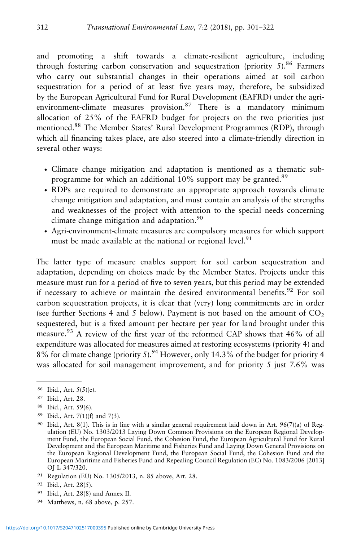and promoting a shift towards a climate-resilient agriculture, including through fostering carbon conservation and sequestration (priority 5).<sup>86</sup> Farmers who carry out substantial changes in their operations aimed at soil carbon sequestration for a period of at least five years may, therefore, be subsidized by the European Agricultural Fund for Rural Development (EAFRD) under the agrienvironment-climate measures provision.<sup>87</sup> There is a mandatory minimum allocation of 25% of the EAFRD budget for projects on the two priorities just mentioned.88 The Member States' Rural Development Programmes (RDP), through which all financing takes place, are also steered into a climate-friendly direction in several other ways:

- ∙ Climate change mitigation and adaptation is mentioned as a thematic subprogramme for which an additional 10% support may be granted.<sup>89</sup>
- ∙ RDPs are required to demonstrate an appropriate approach towards climate change mitigation and adaptation, and must contain an analysis of the strengths and weaknesses of the project with attention to the special needs concerning climate change mitigation and adaptation.<sup>90</sup>
- ∙ Agri-environment-climate measures are compulsory measures for which support must be made available at the national or regional level.<sup>91</sup>

The latter type of measure enables support for soil carbon sequestration and adaptation, depending on choices made by the Member States. Projects under this measure must run for a period of five to seven years, but this period may be extended if necessary to achieve or maintain the desired environmental benefits.<sup>92</sup> For soil carbon sequestration projects, it is clear that (very) long commitments are in order (see further Sections 4 and 5 below). Payment is not based on the amount of  $CO<sub>2</sub>$ sequestered, but is a fixed amount per hectare per year for land brought under this measure.<sup>93</sup> A review of the first year of the reformed CAP shows that 46% of all expenditure was allocated for measures aimed at restoring ecosystems (priority 4) and  $8\%$  for climate change (priority 5).<sup>94</sup> However, only 14.3% of the budget for priority 4 was allocated for soil management improvement, and for priority 5 just 7.6% was

89 Ibid., Art. 7(1)(f) and 7(3).

91 Regulation (EU) No. 1305/2013, n. 85 above, Art. 28.

- 93 Ibid., Art. 28(8) and Annex II.
- 94 Matthews, n. 68 above, p. 257.

<sup>86</sup> Ibid., Art. 5(5)(e).

<sup>87</sup> Ibid., Art. 28.

<sup>88</sup> Ibid., Art. 59(6).

 $90$  Ibid., Art. 8(1). This is in line with a similar general requirement laid down in Art.  $96(7)(a)$  of Regulation (EU) No. 1303/2013 Laying Down Common Provisions on the European Regional Development Fund, the European Social Fund, the Cohesion Fund, the European Agricultural Fund for Rural Development and the European Maritime and Fisheries Fund and Laying Down General Provisions on the European Regional Development Fund, the European Social Fund, the Cohesion Fund and the European Maritime and Fisheries Fund and Repealing Council Regulation (EC) No. 1083/2006 [2013] OJ L 347/320.

<sup>92</sup> Ibid., Art. 28(5).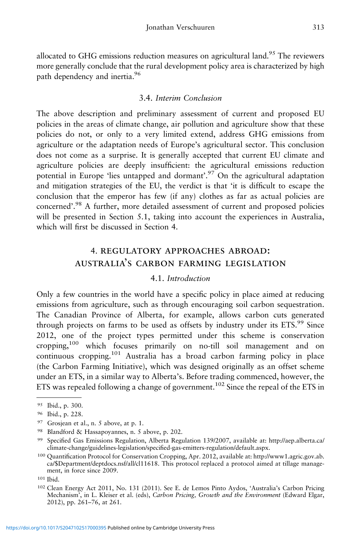allocated to GHG emissions reduction measures on agricultural land.<sup>95</sup> The reviewers more generally conclude that the rural development policy area is characterized by high path dependency and inertia.<sup>96</sup>

#### 3.4. Interim Conclusion

The above description and preliminary assessment of current and proposed EU policies in the areas of climate change, air pollution and agriculture show that these policies do not, or only to a very limited extend, address GHG emissions from agriculture or the adaptation needs of Europe's agricultural sector. This conclusion does not come as a surprise. It is generally accepted that current EU climate and agriculture policies are deeply insufficient: the agricultural emissions reduction potential in Europe 'lies untapped and dormant'.<sup>97</sup> On the agricultural adaptation and mitigation strategies of the EU, the verdict is that 'it is difficult to escape the conclusion that the emperor has few (if any) clothes as far as actual policies are concerned'.<sup>98</sup> A further, more detailed assessment of current and proposed policies will be presented in Section 5.1, taking into account the experiences in Australia, which will first be discussed in Section 4.

# 4. regulatory approaches abroad: australia's carbon farming legislation

#### 4.1. Introduction

Only a few countries in the world have a specific policy in place aimed at reducing emissions from agriculture, such as through encouraging soil carbon sequestration. The Canadian Province of Alberta, for example, allows carbon cuts generated through projects on farms to be used as offsets by industry under its  $ETS<sup>99</sup>$  Since 2012, one of the project types permitted under this scheme is conservation cropping,<sup>100</sup> which focuses primarily on no-till soil management and on continuous cropping.<sup>101</sup> Australia has a broad carbon farming policy in place (the Carbon Farming Initiative), which was designed originally as an offset scheme under an ETS, in a similar way to Alberta's. Before trading commenced, however, the ETS was repealed following a change of government.<sup>102</sup> Since the repeal of the ETS in

<sup>95</sup> Ibid., p. 300.

<sup>96</sup> Ibid., p. 228.

<sup>97</sup> Grosjean et al., n. 5 above, at p. 1.

<sup>98</sup> Blandford & Hassapoyannes, n. 5 above, p. 202.

<sup>99</sup> Specified Gas Emissions Regulation, Alberta Regulation 139/2007, available at: [http://aep.alberta.ca/](http://aep.alberta.ca/climate-change/guidelines-legislation/specified-gas-emitters-regulation/default.aspx) [climate-change/guidelines-legislation/speci](http://aep.alberta.ca/climate-change/guidelines-legislation/specified-gas-emitters-regulation/default.aspx)fied-gas-emitters-regulation/default.aspx.

<sup>100</sup> Quantification Protocol for Conservation Cropping, Apr. 2012, available at: [http://www1.agric.gov.ab.](http://www1.agric.gov.ab.ca/$Department/deptdocs.nsf/all/cl11618) [ca/\\$Department/deptdocs.nsf/all/cl11618](http://www1.agric.gov.ab.ca/$Department/deptdocs.nsf/all/cl11618). This protocol replaced a protocol aimed at tillage management, in force since 2009.

<sup>101</sup> Ibid.

<sup>102</sup> Clean Energy Act 2011, No. 131 (2011). See E. de Lemos Pinto Aydos, 'Australia's Carbon Pricing Mechanism', in L. Kleiser et al. (eds), *Carbon Pricing*, *Growth and the Environment* (Edward Elgar, 2012), pp. 261–76, at 261.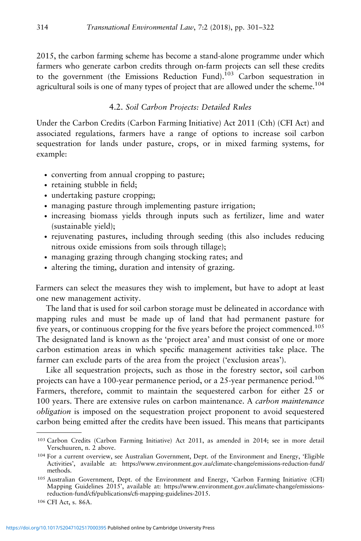2015, the carbon farming scheme has become a stand-alone programme under which farmers who generate carbon credits through on-farm projects can sell these credits to the government (the Emissions Reduction Fund).<sup>103</sup> Carbon sequestration in agricultural soils is one of many types of project that are allowed under the scheme.<sup>104</sup>

#### 4.2. Soil Carbon Projects: Detailed Rules

Under the Carbon Credits (Carbon Farming Initiative) Act 2011 (Cth) (CFI Act) and associated regulations, farmers have a range of options to increase soil carbon sequestration for lands under pasture, crops, or in mixed farming systems, for example:

- ∙ converting from annual cropping to pasture;
- ∙ retaining stubble in field;
- ∙ undertaking pasture cropping;
- ∙ managing pasture through implementing pasture irrigation;
- ∙ increasing biomass yields through inputs such as fertilizer, lime and water (sustainable yield);
- ∙ rejuvenating pastures, including through seeding (this also includes reducing nitrous oxide emissions from soils through tillage);
- ∙ managing grazing through changing stocking rates; and
- ∙ altering the timing, duration and intensity of grazing.

Farmers can select the measures they wish to implement, but have to adopt at least one new management activity.

The land that is used for soil carbon storage must be delineated in accordance with mapping rules and must be made up of land that had permanent pasture for five years, or continuous cropping for the five years before the project commenced.<sup>105</sup> The designated land is known as the 'project area' and must consist of one or more carbon estimation areas in which specific management activities take place. The farmer can exclude parts of the area from the project ('exclusion areas').

Like all sequestration projects, such as those in the forestry sector, soil carbon projects can have a 100-year permanence period, or a 25-year permanence period.<sup>106</sup> Farmers, therefore, commit to maintain the sequestered carbon for either 25 or 100 years. There are extensive rules on carbon maintenance. A *carbon maintenance* obligation is imposed on the sequestration project proponent to avoid sequestered carbon being emitted after the credits have been issued. This means that participants

<sup>103</sup> Carbon Credits (Carbon Farming Initiative) Act 2011, as amended in 2014; see in more detail Verschuuren, n. 2 above.

<sup>104</sup> For a current overview, see Australian Government, Dept. of the Environment and Energy, 'Eligible Activities', available at: [https://www.environment.gov.au/climate-change/emissions-reduction-fund/](https://www.environment.gov.au/climate-change/emissions-reduction-fund/methods) [methods.](https://www.environment.gov.au/climate-change/emissions-reduction-fund/methods)

<sup>105</sup> Australian Government, Dept. of the Environment and Energy, 'Carbon Farming Initiative (CFI) Mapping Guidelines 2015', available at: [https://www.environment.gov.au/climate-change/emissions](https://www.environment.gov.au/climate-change/emissions-reduction-fund/cfi/publications/cfi-mapping-guidelines-2015)reduction-fund/cfi/publications/cfi[-mapping-guidelines-2015.](https://www.environment.gov.au/climate-change/emissions-reduction-fund/cfi/publications/cfi-mapping-guidelines-2015)

<sup>106</sup> CFI Act, s. 86A.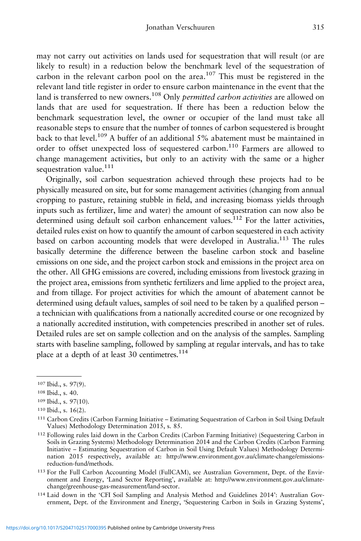may not carry out activities on lands used for sequestration that will result (or are likely to result) in a reduction below the benchmark level of the sequestration of carbon in the relevant carbon pool on the area.<sup>107</sup> This must be registered in the relevant land title register in order to ensure carbon maintenance in the event that the land is transferred to new owners.<sup>108</sup> Only *permitted carbon activities* are allowed on lands that are used for sequestration. If there has been a reduction below the benchmark sequestration level, the owner or occupier of the land must take all reasonable steps to ensure that the number of tonnes of carbon sequestered is brought back to that level.<sup>109</sup> A buffer of an additional 5% abatement must be maintained in order to offset unexpected loss of sequestered carbon.<sup>110</sup> Farmers are allowed to change management activities, but only to an activity with the same or a higher sequestration value.<sup>111</sup>

Originally, soil carbon sequestration achieved through these projects had to be physically measured on site, but for some management activities (changing from annual cropping to pasture, retaining stubble in field, and increasing biomass yields through inputs such as fertilizer, lime and water) the amount of sequestration can now also be determined using default soil carbon enhancement values.<sup>112</sup> For the latter activities, detailed rules exist on how to quantify the amount of carbon sequestered in each activity based on carbon accounting models that were developed in Australia.<sup>113</sup> The rules basically determine the difference between the baseline carbon stock and baseline emissions on one side, and the project carbon stock and emissions in the project area on the other. All GHG emissions are covered, including emissions from livestock grazing in the project area, emissions from synthetic fertilizers and lime applied to the project area, and from tillage. For project activities for which the amount of abatement cannot be determined using default values, samples of soil need to be taken by a qualified person – a technician with qualifications from a nationally accredited course or one recognized by a nationally accredited institution, with competencies prescribed in another set of rules. Detailed rules are set on sample collection and on the analysis of the samples. Sampling starts with baseline sampling, followed by sampling at regular intervals, and has to take place at a depth of at least 30 centimetres.<sup>114</sup>

<sup>107</sup> Ibid., s. 97(9).

<sup>108</sup> Ibid., s. 40.

<sup>109</sup> Ibid., s. 97(10).

<sup>110</sup> Ibid., s. 16(2).

<sup>111</sup> Carbon Credits (Carbon Farming Initiative – Estimating Sequestration of Carbon in Soil Using Default Values) Methodology Determination 2015, s. 85.

<sup>112</sup> Following rules laid down in the Carbon Credits (Carbon Farming Initiative) (Sequestering Carbon in Soils in Grazing Systems) Methodology Determination 2014 and the Carbon Credits (Carbon Farming Initiative – Estimating Sequestration of Carbon in Soil Using Default Values) Methodology Determination 2015 respectively, available at: [http://www.environment.gov.au/climate-change/emissions](http://www.environment.gov.au/climate-change/emissions-reduction-fund/methods)[reduction-fund/methods.](http://www.environment.gov.au/climate-change/emissions-reduction-fund/methods)

<sup>113</sup> For the Full Carbon Accounting Model (FullCAM), see Australian Government, Dept. of the Environment and Energy, 'Land Sector Reporting', available at: [http://www.environment.gov.au/climate](http://www.environment.gov.au/climate-change/greenhouse-gas-measurement/land-sector)[change/greenhouse-gas-measurement/land-sector.](http://www.environment.gov.au/climate-change/greenhouse-gas-measurement/land-sector)

<sup>114</sup> Laid down in the 'CFI Soil Sampling and Analysis Method and Guidelines 2014': Australian Government, Dept. of the Environment and Energy, 'Sequestering Carbon in Soils in Grazing Systems',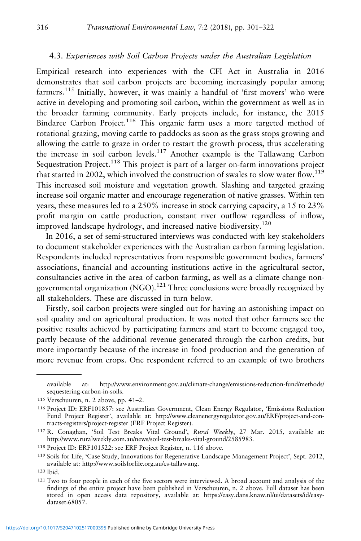#### 4.3. Experiences with Soil Carbon Projects under the Australian Legislation

Empirical research into experiences with the CFI Act in Australia in 2016 demonstrates that soil carbon projects are becoming increasingly popular among farmers.<sup>115</sup> Initially, however, it was mainly a handful of 'first movers' who were active in developing and promoting soil carbon, within the government as well as in the broader farming community. Early projects include, for instance, the 2015 Bindaree Carbon Project.<sup>116</sup> This organic farm uses a more targeted method of rotational grazing, moving cattle to paddocks as soon as the grass stops growing and allowing the cattle to graze in order to restart the growth process, thus accelerating the increase in soil carbon levels.<sup>117</sup> Another example is the Tallawang Carbon Sequestration Project.<sup>118</sup> This project is part of a larger on-farm innovations project that started in 2002, which involved the construction of swales to slow water flow.<sup>119</sup> This increased soil moisture and vegetation growth. Slashing and targeted grazing increase soil organic matter and encourage regeneration of native grasses. Within ten years, these measures led to a 250% increase in stock carrying capacity, a 15 to 23% profit margin on cattle production, constant river outflow regardless of inflow, improved landscape hydrology, and increased native biodiversity.<sup>120</sup>

In 2016, a set of semi-structured interviews was conducted with key stakeholders to document stakeholder experiences with the Australian carbon farming legislation. Respondents included representatives from responsible government bodies, farmers' associations, financial and accounting institutions active in the agricultural sector, consultancies active in the area of carbon farming, as well as a climate change nongovernmental organization  $(NGO)$ <sup>121</sup> Three conclusions were broadly recognized by all stakeholders. These are discussed in turn below.

Firstly, soil carbon projects were singled out for having an astonishing impact on soil quality and on agricultural production. It was noted that other farmers see the positive results achieved by participating farmers and start to become engaged too, partly because of the additional revenue generated through the carbon credits, but more importantly because of the increase in food production and the generation of more revenue from crops. One respondent referred to an example of two brothers

available at: [http://www.environment.gov.au/climate-change/emissions-reduction-fund/methods/](http://www.environment.gov.au/climate-change/emissions-reduction-fund/methods/sequestering-carbon-in-soils) [sequestering-carbon-in-soils](http://www.environment.gov.au/climate-change/emissions-reduction-fund/methods/sequestering-carbon-in-soils).

<sup>115</sup> Verschuuren, n. 2 above, pp. 41–2.

<sup>116</sup> Project ID: ERF101857: see Australian Government, Clean Energy Regulator, 'Emissions Reduction Fund Project Register', available at: [http://www.cleanenergyregulator.gov.au/ERF/project-and-con](http://www.cleanenergyregulator.gov.au/ERF/project-and-contracts-registers/project-register)[tracts-registers/project-register](http://www.cleanenergyregulator.gov.au/ERF/project-and-contracts-registers/project-register) (ERF Project Register).

<sup>117</sup> R. Conaghan, 'Soil Test Breaks Vital Ground', Rural Weekly, 27 Mar. 2015, available at: [http://www.ruralweekly.com.au/news/soil-test-breaks-vital-ground/2585983.](http://www.ruralweekly.com.au/news/soil-test-breaks-vital-ground/2585983)

<sup>118</sup> Project ID: ERF101522: see ERF Project Register, n. 116 above.

<sup>119</sup> Soils for Life, 'Case Study, Innovations for Regenerative Landscape Management Project', Sept. 2012, available at:<http://www.soilsforlife.org.au/cs-tallawang>.

<sup>120</sup> Ibid.

<sup>121</sup> Two to four people in each of the five sectors were interviewed. A broad account and analysis of the findings of the entire project have been published in Verschuuren, n. 2 above. Full dataset has been stored in open access data repository, available at: [https://easy.dans.knaw.nl/ui/datasets/id/easy](https://easy.dans.knaw.nl/ui/datasets/id/easy-dataset:68057)[dataset:68057](https://easy.dans.knaw.nl/ui/datasets/id/easy-dataset:68057).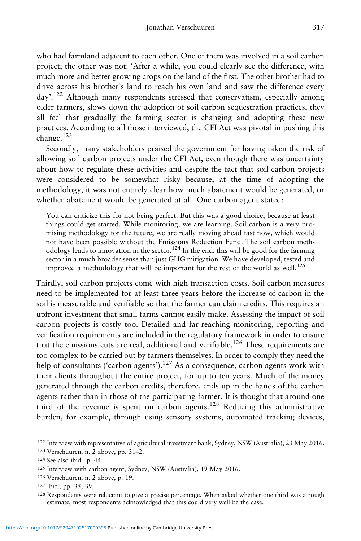who had farmland adjacent to each other. One of them was involved in a soil carbon project; the other was not: 'After a while, you could clearly see the difference, with much more and better growing crops on the land of the first. The other brother had to drive across his brother's land to reach his own land and saw the difference every day'.<sup>122</sup> Although many respondents stressed that conservatism, especially among older farmers, slows down the adoption of soil carbon sequestration practices, they all feel that gradually the farming sector is changing and adopting these new practices. According to all those interviewed, the CFI Act was pivotal in pushing this change.<sup>123</sup>

Secondly, many stakeholders praised the government for having taken the risk of allowing soil carbon projects under the CFI Act, even though there was uncertainty about how to regulate these activities and despite the fact that soil carbon projects were considered to be somewhat risky because, at the time of adopting the methodology, it was not entirely clear how much abatement would be generated, or whether abatement would be generated at all. One carbon agent stated:

You can criticize this for not being perfect. But this was a good choice, because at least things could get started. While monitoring, we are learning. Soil carbon is a very promising methodology for the future, we are really moving ahead fast now, which would not have been possible without the Emissions Reduction Fund. The soil carbon methodology leads to innovation in the sector.<sup>124</sup> In the end, this will be good for the farming sector in a much broader sense than just GHG mitigation. We have developed, tested and improved a methodology that will be important for the rest of the world as well.<sup>125</sup>

Thirdly, soil carbon projects come with high transaction costs. Soil carbon measures need to be implemented for at least three years before the increase of carbon in the soil is measurable and verifiable so that the farmer can claim credits. This requires an upfront investment that small farms cannot easily make. Assessing the impact of soil carbon projects is costly too. Detailed and far-reaching monitoring, reporting and verification requirements are included in the regulatory framework in order to ensure that the emissions cuts are real, additional and verifiable.<sup>126</sup> These requirements are too complex to be carried out by farmers themselves. In order to comply they need the help of consultants ('carbon agents').<sup>127</sup> As a consequence, carbon agents work with their clients throughout the entire project, for up to ten years. Much of the money generated through the carbon credits, therefore, ends up in the hands of the carbon agents rather than in those of the participating farmer. It is thought that around one third of the revenue is spent on carbon agents.<sup>128</sup> Reducing this administrative burden, for example, through using sensory systems, automated tracking devices,

<sup>122</sup> Interview with representative of agricultural investment bank, Sydney, NSW (Australia), 23 May 2016.

<sup>123</sup> Verschuuren, n. 2 above, pp. 31–2.

<sup>124</sup> See also ibid., p. 44.

<sup>125</sup> Interview with carbon agent, Sydney, NSW (Australia), 19 May 2016.

<sup>126</sup> Verschuuren, n. 2 above, p. 19.

<sup>127</sup> Ibid., pp. 35, 39.

<sup>128</sup> Respondents were reluctant to give a precise percentage. When asked whether one third was a rough estimate, most respondents acknowledged that this could very well be the case.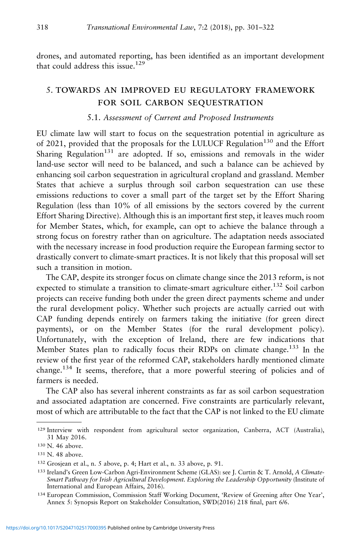drones, and automated reporting, has been identified as an important development that could address this issue.<sup>129</sup>

## 5. towards an improved eu regulatory framework for soil carbon sequestration

#### 5.1. Assessment of Current and Proposed Instruments

EU climate law will start to focus on the sequestration potential in agriculture as of 2021, provided that the proposals for the LULUCF Regulation<sup>130</sup> and the Effort Sharing Regulation<sup>131</sup> are adopted. If so, emissions and removals in the wider land-use sector will need to be balanced, and such a balance can be achieved by enhancing soil carbon sequestration in agricultural cropland and grassland. Member States that achieve a surplus through soil carbon sequestration can use these emissions reductions to cover a small part of the target set by the Effort Sharing Regulation (less than 10% of all emissions by the sectors covered by the current Effort Sharing Directive). Although this is an important first step, it leaves much room for Member States, which, for example, can opt to achieve the balance through a strong focus on forestry rather than on agriculture. The adaptation needs associated with the necessary increase in food production require the European farming sector to drastically convert to climate-smart practices. It is not likely that this proposal will set such a transition in motion.

The CAP, despite its stronger focus on climate change since the 2013 reform, is not expected to stimulate a transition to climate-smart agriculture either.<sup>132</sup> Soil carbon projects can receive funding both under the green direct payments scheme and under the rural development policy. Whether such projects are actually carried out with CAP funding depends entirely on farmers taking the initiative (for green direct payments), or on the Member States (for the rural development policy). Unfortunately, with the exception of Ireland, there are few indications that Member States plan to radically focus their RDPs on climate change.<sup>133</sup> In the review of the first year of the reformed CAP, stakeholders hardly mentioned climate change.<sup>134</sup> It seems, therefore, that a more powerful steering of policies and of farmers is needed.

The CAP also has several inherent constraints as far as soil carbon sequestration and associated adaptation are concerned. Five constraints are particularly relevant, most of which are attributable to the fact that the CAP is not linked to the EU climate

<sup>129</sup> Interview with respondent from agricultural sector organization, Canberra, ACT (Australia), 31 May 2016.

<sup>130</sup> N. 46 above.

<sup>131</sup> N. 48 above.

<sup>132</sup> Grosjean et al., n. 5 above, p. 4; Hart et al., n. 33 above, p. 91.

<sup>133</sup> Ireland's Green Low-Carbon Agri-Environment Scheme (GLAS): see J. Curtin & T. Arnold, A Climate-Smart Pathway for Irish Agricultural Development. Exploring the Leadership Opportunity (Institute of International and European Affairs, 2016).

<sup>134</sup> European Commission, Commission Staff Working Document, 'Review of Greening after One Year', Annex 5: Synopsis Report on Stakeholder Consultation, SWD(2016) 218 final, part 6/6.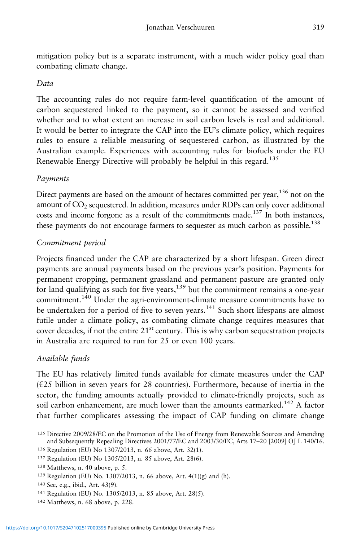mitigation policy but is a separate instrument, with a much wider policy goal than combating climate change.

## Data

The accounting rules do not require farm-level quantification of the amount of carbon sequestered linked to the payment, so it cannot be assessed and verified whether and to what extent an increase in soil carbon levels is real and additional. It would be better to integrate the CAP into the EU's climate policy, which requires rules to ensure a reliable measuring of sequestered carbon, as illustrated by the Australian example. Experiences with accounting rules for biofuels under the EU Renewable Energy Directive will probably be helpful in this regard.<sup>135</sup>

## Payments

Direct payments are based on the amount of hectares committed per year,<sup>136</sup> not on the amount of  $CO<sub>2</sub>$  sequestered. In addition, measures under RDPs can only cover additional costs and income forgone as a result of the commitments made.<sup>137</sup> In both instances, these payments do not encourage farmers to sequester as much carbon as possible.<sup>138</sup>

## Commitment period

Projects financed under the CAP are characterized by a short lifespan. Green direct payments are annual payments based on the previous year's position. Payments for permanent cropping, permanent grassland and permanent pasture are granted only for land qualifying as such for five years,<sup>139</sup> but the commitment remains a one-year commitment.<sup>140</sup> Under the agri-environment-climate measure commitments have to be undertaken for a period of five to seven years.<sup>141</sup> Such short lifespans are almost futile under a climate policy, as combating climate change requires measures that cover decades, if not the entire  $21^{st}$  century. This is why carbon sequestration projects in Australia are required to run for 25 or even 100 years.

## Available funds

The EU has relatively limited funds available for climate measures under the CAP  $(\epsilon 25$  billion in seven years for 28 countries). Furthermore, because of inertia in the sector, the funding amounts actually provided to climate-friendly projects, such as soil carbon enhancement, are much lower than the amounts earmarked.<sup>142</sup> A factor that further complicates assessing the impact of CAP funding on climate change

<sup>135</sup> Directive 2009/28/EC on the Promotion of the Use of Energy from Renewable Sources and Amending and Subsequently Repealing Directives 2001/77/EC and 2003/30/EC, Arts 17–20 [2009] OJ L 140/16.

<sup>136</sup> Regulation (EU) No 1307/2013, n. 66 above, Art. 32(1).

<sup>137</sup> Regulation (EU) No 1305/2013, n. 85 above, Art. 28(6).

<sup>138</sup> Matthews, n. 40 above, p. 5.

<sup>139</sup> Regulation (EU) No. 1307/2013, n. 66 above, Art. 4(1)(g) and (h).

<sup>140</sup> See, e.g., ibid., Art. 43(9).

<sup>141</sup> Regulation (EU) No. 1305/2013, n. 85 above, Art. 28(5).

<sup>142</sup> Matthews, n. 68 above, p. 228.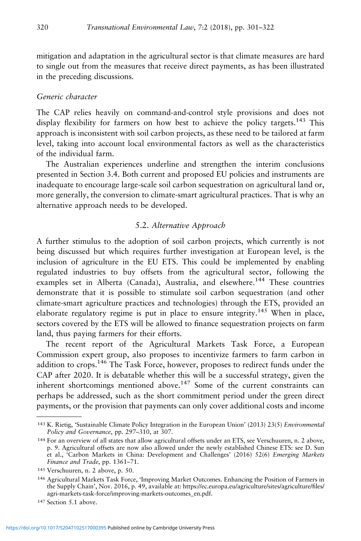mitigation and adaptation in the agricultural sector is that climate measures are hard to single out from the measures that receive direct payments, as has been illustrated in the preceding discussions.

#### Generic character

The CAP relies heavily on command-and-control style provisions and does not display flexibility for farmers on how best to achieve the policy targets.<sup>143</sup> This approach is inconsistent with soil carbon projects, as these need to be tailored at farm level, taking into account local environmental factors as well as the characteristics of the individual farm.

The Australian experiences underline and strengthen the interim conclusions presented in Section 3.4. Both current and proposed EU policies and instruments are inadequate to encourage large-scale soil carbon sequestration on agricultural land or, more generally, the conversion to climate-smart agricultural practices. That is why an alternative approach needs to be developed.

#### 5.2. Alternative Approach

A further stimulus to the adoption of soil carbon projects, which currently is not being discussed but which requires further investigation at European level, is the inclusion of agriculture in the EU ETS. This could be implemented by enabling regulated industries to buy offsets from the agricultural sector, following the examples set in Alberta (Canada), Australia, and elsewhere.<sup>144</sup> These countries demonstrate that it is possible to stimulate soil carbon sequestration (and other climate-smart agriculture practices and technologies) through the ETS, provided an elaborate regulatory regime is put in place to ensure integrity.<sup>145</sup> When in place, sectors covered by the ETS will be allowed to finance sequestration projects on farm land, thus paying farmers for their efforts.

The recent report of the Agricultural Markets Task Force, a European Commission expert group, also proposes to incentivize farmers to farm carbon in addition to crops.<sup>146</sup> The Task Force, however, proposes to redirect funds under the CAP after 2020. It is debatable whether this will be a successful strategy, given the inherent shortcomings mentioned above.<sup>147</sup> Some of the current constraints can perhaps be addressed, such as the short commitment period under the green direct payments, or the provision that payments can only cover additional costs and income

<sup>143</sup> K. Rietig, 'Sustainable Climate Policy Integration in the European Union' (2013) 23(5) Environmental Policy and Governance, pp. 297-310, at 307.

<sup>144</sup> For an overview of all states that allow agricultural offsets under an ETS, see Verschuuren, n. 2 above, p. 9. Agricultural offsets are now also allowed under the newly established Chinese ETS: see D. Sun et al., 'Carbon Markets in China: Development and Challenges' (2016) 52(6) Emerging Markets Finance and Trade, pp. 1361–71.

<sup>145</sup> Verschuuren, n. 2 above, p. 50.

<sup>146</sup> Agricultural Markets Task Force, 'Improving Market Outcomes. Enhancing the Position of Farmers in the Supply Chain', Nov. 2016, p. 49, available at: [https://ec.europa.eu/agriculture/sites/agriculture/](https://ec.europa.eu/agriculture/sites/agriculture/files/agri-markets-task-force/improving-markets-outcomes_en.pdf)files/ [agri-markets-task-force/improving-markets-outcomes\\_en.pdf.](https://ec.europa.eu/agriculture/sites/agriculture/files/agri-markets-task-force/improving-markets-outcomes_en.pdf)

<sup>147</sup> Section 5.1 above.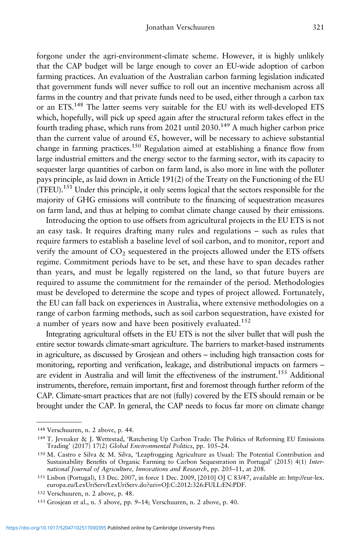forgone under the agri-environment-climate scheme. However, it is highly unlikely that the CAP budget will be large enough to cover an EU-wide adoption of carbon farming practices. An evaluation of the Australian carbon farming legislation indicated that government funds will never suffice to roll out an incentive mechanism across all farms in the country and that private funds need to be used, either through a carbon tax or an ETS.148 The latter seems very suitable for the EU with its well-developed ETS which, hopefully, will pick up speed again after the structural reform takes effect in the fourth trading phase, which runs from 2021 until 2030.<sup>149</sup> A much higher carbon price than the current value of around  $\epsilon$ 5, however, will be necessary to achieve substantial change in farming practices.<sup>150</sup> Regulation aimed at establishing a finance flow from large industrial emitters and the energy sector to the farming sector, with its capacity to sequester large quantities of carbon on farm land, is also more in line with the polluter pays principle, as laid down in Article 191(2) of the Treaty on the Functioning of the EU  $(TFEU).<sup>151</sup>$  Under this principle, it only seems logical that the sectors responsible for the majority of GHG emissions will contribute to the financing of sequestration measures

Introducing the option to use offsets from agricultural projects in the EU ETS is not an easy task. It requires drafting many rules and regulations – such as rules that require farmers to establish a baseline level of soil carbon, and to monitor, report and verify the amount of  $CO<sub>2</sub>$  sequestered in the projects allowed under the ETS offsets regime. Commitment periods have to be set, and these have to span decades rather than years, and must be legally registered on the land, so that future buyers are required to assume the commitment for the remainder of the period. Methodologies must be developed to determine the scope and types of project allowed. Fortunately, the EU can fall back on experiences in Australia, where extensive methodologies on a range of carbon farming methods, such as soil carbon sequestration, have existed for a number of years now and have been positively evaluated.<sup>152</sup>

on farm land, and thus at helping to combat climate change caused by their emissions.

Integrating agricultural offsets in the EU ETS is not the silver bullet that will push the entire sector towards climate-smart agriculture. The barriers to market-based instruments in agriculture, as discussed by Grosjean and others – including high transaction costs for monitoring, reporting and verification, leakage, and distributional impacts on farmers – are evident in Australia and will limit the effectiveness of the instrument.153 Additional instruments, therefore, remain important, first and foremost through further reform of the CAP. Climate-smart practices that are not (fully) covered by the ETS should remain or be brought under the CAP. In general, the CAP needs to focus far more on climate change

<sup>148</sup> Verschuuren, n. 2 above, p. 44.

<sup>149</sup> T. Jevnaker & J. Wettestad, 'Ratcheting Up Carbon Trade: The Politics of Reforming EU Emissions Trading' (2017) 17(2) Global Environmental Politics, pp. 105–24.

<sup>150</sup> M. Castro e Silva & M. Silva, 'Leapfrogging Agriculture as Usual: The Potential Contribution and Sustainability Benefits of Organic Farming to Carbon Sequestration in Portugal' (2015) 4(1) International Journal of Agriculture, Innovations and Research, pp. 205–11, at 208.

<sup>151</sup> Lisbon (Portugal), 13 Dec. 2007, in force 1 Dec. 2009, [2010] OJ C 83/47, available at: [http://eur-lex.](http://eur-lex.europa.eu/LexUriServ/LexUriServ.do?uri=OJ:C:2012:326:FULL:EN:PDF) [europa.eu/LexUriServ/LexUriServ.do?uri](http://eur-lex.europa.eu/LexUriServ/LexUriServ.do?uri=OJ:C:2012:326:FULL:EN:PDF)=OJ:C:2012:326:FULL:EN:PDF.

<sup>152</sup> Verschuuren, n. 2 above, p. 48.

<sup>153</sup> Grosjean et al., n. 5 above, pp. 9–14; Verschuuren, n. 2 above, p. 40.